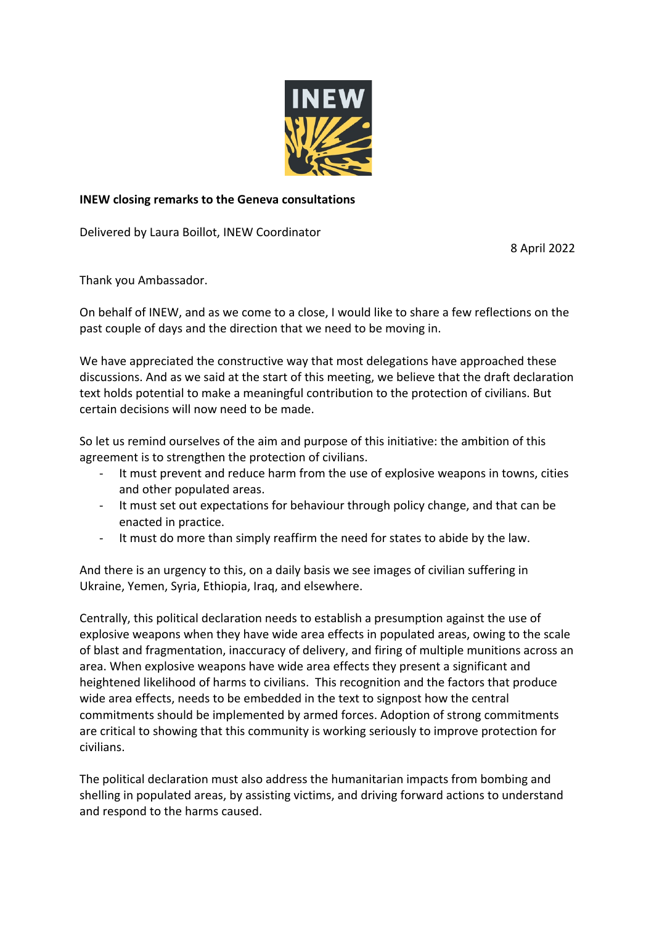

## **INEW closing remarks to the Geneva consultations**

Delivered by Laura Boillot, INEW Coordinator

8 April 2022

Thank you Ambassador.

On behalf of INEW, and as we come to a close, I would like to share a few reflections on the past couple of days and the direction that we need to be moving in.

We have appreciated the constructive way that most delegations have approached these discussions. And as we said at the start of this meeting, we believe that the draft declaration text holds potential to make a meaningful contribution to the protection of civilians. But certain decisions will now need to be made.

So let us remind ourselves of the aim and purpose of this initiative: the ambition of this agreement is to strengthen the protection of civilians.

- It must prevent and reduce harm from the use of explosive weapons in towns, cities and other populated areas.
- It must set out expectations for behaviour through policy change, and that can be enacted in practice.
- It must do more than simply reaffirm the need for states to abide by the law.

And there is an urgency to this, on a daily basis we see images of civilian suffering in Ukraine, Yemen, Syria, Ethiopia, Iraq, and elsewhere.

Centrally, this political declaration needs to establish a presumption against the use of explosive weapons when they have wide area effects in populated areas, owing to the scale of blast and fragmentation, inaccuracy of delivery, and firing of multiple munitions across an area. When explosive weapons have wide area effects they present a significant and heightened likelihood of harms to civilians. This recognition and the factors that produce wide area effects, needs to be embedded in the text to signpost how the central commitments should be implemented by armed forces. Adoption of strong commitments are critical to showing that this community is working seriously to improve protection for civilians.

The political declaration must also address the humanitarian impacts from bombing and shelling in populated areas, by assisting victims, and driving forward actions to understand and respond to the harms caused.